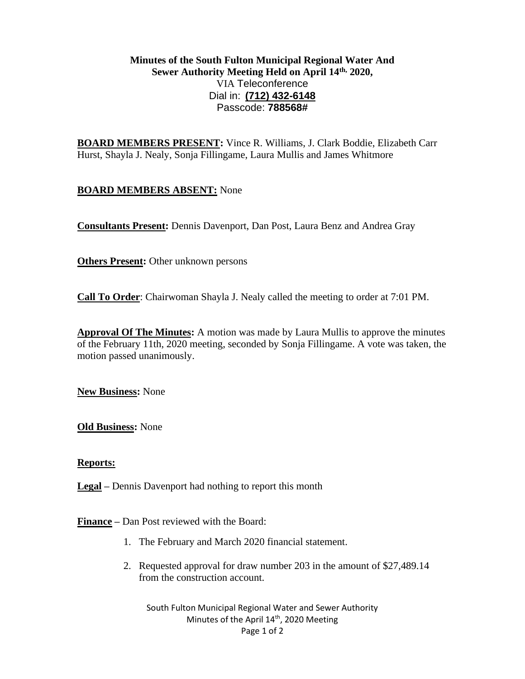# **Minutes of the South Fulton Municipal Regional Water And Sewer Authority Meeting Held on April 14th, 2020,** VIA Teleconference Dial in: **[\(712\) 432-6148](tel:(712)%20432-6148)** Passcode: **788568#**

**BOARD MEMBERS PRESENT:** Vince R. Williams, J. Clark Boddie, Elizabeth Carr Hurst, Shayla J. Nealy, Sonja Fillingame, Laura Mullis and James Whitmore

# **BOARD MEMBERS ABSENT:** None

**Consultants Present:** Dennis Davenport, Dan Post, Laura Benz and Andrea Gray

**Others Present:** Other unknown persons

**Call To Order**: Chairwoman Shayla J. Nealy called the meeting to order at 7:01 PM.

**Approval Of The Minutes:** A motion was made by Laura Mullis to approve the minutes of the February 11th, 2020 meeting, seconded by Sonja Fillingame. A vote was taken, the motion passed unanimously.

**New Business:** None

**Old Business:** None

# **Reports:**

**Legal –** Dennis Davenport had nothing to report this month

**Finance –** Dan Post reviewed with the Board:

- 1. The February and March 2020 financial statement.
- 2. Requested approval for draw number 203 in the amount of \$27,489.14 from the construction account.

South Fulton Municipal Regional Water and Sewer Authority Minutes of the April 14<sup>th</sup>, 2020 Meeting Page 1 of 2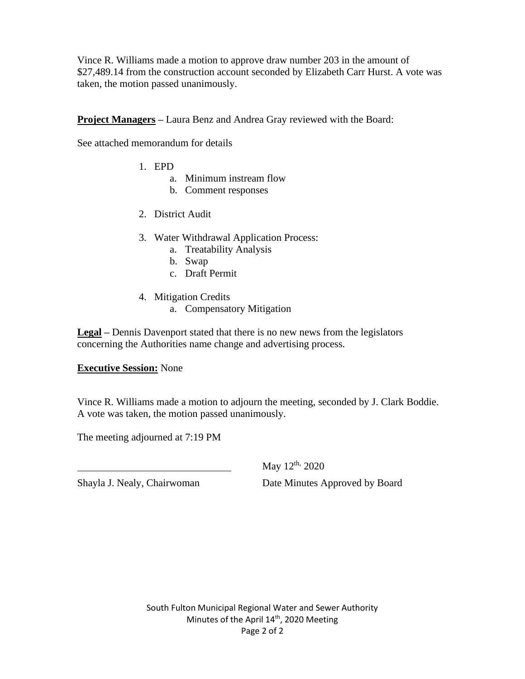Vince R. Williams made a motion to approve draw number 203 in the amount of \$27,489.14 from the construction account seconded by Elizabeth Carr Hurst. A vote was taken, the motion passed unanimously.

**Project Managers** – Laura Benz and Andrea Gray reviewed with the Board:

See attached memorandum for details

- 1. EPD
	- a. Minimum instream flow
	- b. Comment responses
- 2. District Audit
- 3. Water Withdrawal Application Process:
	- a. Treatability Analysis
	- b. Swap
	- c. Draft Permit
- 4. Mitigation Credits
	- a. Compensatory Mitigation

**Legal –** Dennis Davenport stated that there is no new news from the legislators concerning the Authorities name change and advertising process.

# **Executive Session:** None

Vince R. Williams made a motion to adjourn the meeting, seconded by J. Clark Boddie. A vote was taken, the motion passed unanimously.

The meeting adjourned at 7:19 PM

May 12<sup>th,</sup> 2020

Shayla J. Nealy, Chairwoman Date Minutes Approved by Board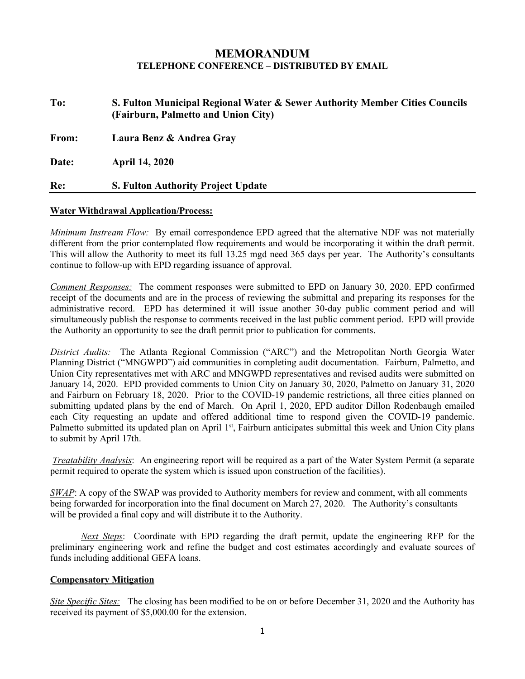# **MEMORANDUM TELEPHONE CONFERENCE – DISTRIBUTED BY EMAIL**

| To:   | S. Fulton Municipal Regional Water & Sewer Authority Member Cities Councils<br>(Fairburn, Palmetto and Union City) |
|-------|--------------------------------------------------------------------------------------------------------------------|
| From: | Laura Benz & Andrea Gray                                                                                           |
| Date: | <b>April 14, 2020</b>                                                                                              |
| Re:   | <b>S. Fulton Authority Project Update</b>                                                                          |

#### **Water Withdrawal Application/Process:**

*Minimum Instream Flow:* By email correspondence EPD agreed that the alternative NDF was not materially different from the prior contemplated flow requirements and would be incorporating it within the draft permit. This will allow the Authority to meet its full 13.25 mgd need 365 days per year. The Authority's consultants continue to follow-up with EPD regarding issuance of approval.

*Comment Responses:* The comment responses were submitted to EPD on January 30, 2020. EPD confirmed receipt of the documents and are in the process of reviewing the submittal and preparing its responses for the administrative record. EPD has determined it will issue another 30-day public comment period and will simultaneously publish the response to comments received in the last public comment period. EPD will provide the Authority an opportunity to see the draft permit prior to publication for comments.

*District Audits:* The Atlanta Regional Commission ("ARC") and the Metropolitan North Georgia Water Planning District ("MNGWPD") aid communities in completing audit documentation. Fairburn, Palmetto, and Union City representatives met with ARC and MNGWPD representatives and revised audits were submitted on January 14, 2020. EPD provided comments to Union City on January 30, 2020, Palmetto on January 31, 2020 and Fairburn on February 18, 2020. Prior to the COVID-19 pandemic restrictions, all three cities planned on submitting updated plans by the end of March. On April 1, 2020, EPD auditor Dillon Rodenbaugh emailed each City requesting an update and offered additional time to respond given the COVID-19 pandemic. Palmetto submitted its updated plan on April 1<sup>st</sup>, Fairburn anticipates submittal this week and Union City plans to submit by April 17th.

*Treatability Analysis*: An engineering report will be required as a part of the Water System Permit (a separate permit required to operate the system which is issued upon construction of the facilities).

*SWAP*: A copy of the SWAP was provided to Authority members for review and comment, with all comments being forwarded for incorporation into the final document on March 27, 2020. The Authority's consultants will be provided a final copy and will distribute it to the Authority.

*Next Steps*: Coordinate with EPD regarding the draft permit, update the engineering RFP for the preliminary engineering work and refine the budget and cost estimates accordingly and evaluate sources of funds including additional GEFA loans.

### **Compensatory Mitigation**

*Site Specific Sites:* The closing has been modified to be on or before December 31, 2020 and the Authority has received its payment of \$5,000.00 for the extension.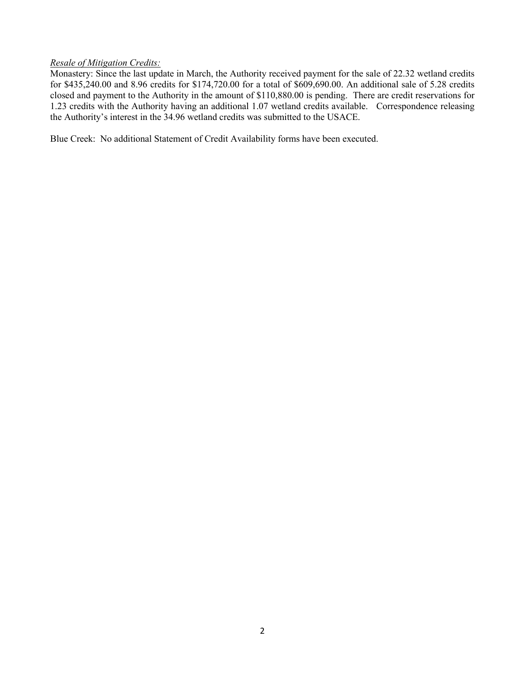## *Resale of Mitigation Credits:*

Monastery: Since the last update in March, the Authority received payment for the sale of 22.32 wetland credits for \$435,240.00 and 8.96 credits for \$174,720.00 for a total of \$609,690.00. An additional sale of 5.28 credits closed and payment to the Authority in the amount of \$110,880.00 is pending. There are credit reservations for 1.23 credits with the Authority having an additional 1.07 wetland credits available. Correspondence releasing the Authority's interest in the 34.96 wetland credits was submitted to the USACE.

Blue Creek: No additional Statement of Credit Availability forms have been executed.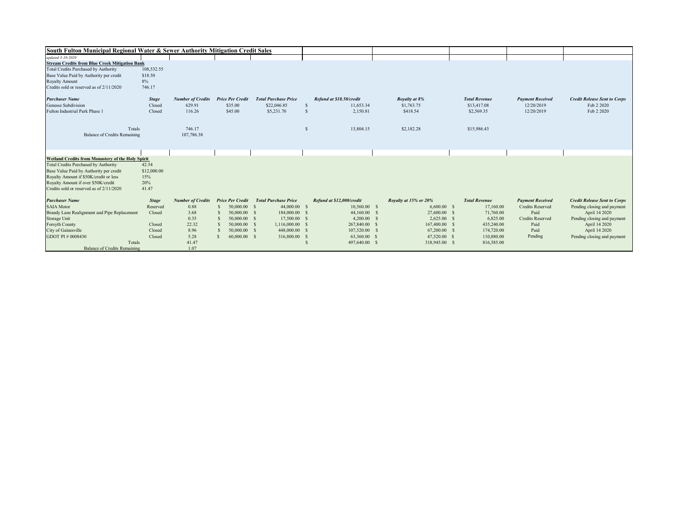| South Fulton Municipal Regional Water & Sewer Authority Mitigation Credit Sales |              |                                           |                              |                             |               |                           |                       |  |                      |                         |                                     |
|---------------------------------------------------------------------------------|--------------|-------------------------------------------|------------------------------|-----------------------------|---------------|---------------------------|-----------------------|--|----------------------|-------------------------|-------------------------------------|
| updated 3-10-2020                                                               |              |                                           |                              |                             |               |                           |                       |  |                      |                         |                                     |
| <b>Stream Credits from Blue Creek Mitigation Bank</b>                           |              |                                           |                              |                             |               |                           |                       |  |                      |                         |                                     |
| <b>Total Credits Purchased by Authority</b>                                     | 108,532.55   |                                           |                              |                             |               |                           |                       |  |                      |                         |                                     |
| Base Value Paid by Authority per credit                                         | \$18.50      |                                           |                              |                             |               |                           |                       |  |                      |                         |                                     |
| <b>Royalty Amount</b>                                                           | 8%           |                                           |                              |                             |               |                           |                       |  |                      |                         |                                     |
| Credits sold or reserved as of 2/11/2020                                        | 746.17       |                                           |                              |                             |               |                           |                       |  |                      |                         |                                     |
|                                                                                 |              |                                           |                              |                             |               |                           |                       |  |                      |                         |                                     |
| <b>Purchaser Name</b>                                                           | <b>Stage</b> | <b>Number of Credits</b> Price Per Credit |                              | <b>Total Purchase Price</b> |               | Refund at \$18.50/credit  | Royalty at 8%         |  | <b>Total Revenue</b> | <b>Payment Received</b> | <b>Credit Release Sent to Corps</b> |
| <b>Genesse Subdivision</b>                                                      | Closed       | 629.91                                    | \$35.00                      | \$22,046.85                 | <sup>\$</sup> | 11.653.34                 | \$1,763.75            |  | \$13,417.08          | 12/20/2019              | Feb 2 2020                          |
| Fulton Industrial Park Phase 1                                                  | Closed       | 116.26                                    | \$45.00                      | \$5,231.70                  |               | 2,150.81                  | \$418.54              |  | \$2,569.35           | 12/20/2019              | Feb 2 2020                          |
|                                                                                 |              |                                           |                              |                             |               |                           |                       |  |                      |                         |                                     |
|                                                                                 |              |                                           |                              |                             |               |                           |                       |  |                      |                         |                                     |
| Totals                                                                          |              | 746.17                                    |                              |                             | $\mathcal{S}$ | 13,804.15                 | \$2,182.28            |  | \$15,986.43          |                         |                                     |
| <b>Balance of Credits Remaining</b>                                             |              | 107,786.38                                |                              |                             |               |                           |                       |  |                      |                         |                                     |
|                                                                                 |              |                                           |                              |                             |               |                           |                       |  |                      |                         |                                     |
|                                                                                 |              |                                           |                              |                             |               |                           |                       |  |                      |                         |                                     |
|                                                                                 |              |                                           |                              |                             |               |                           |                       |  |                      |                         |                                     |
| Wetland Credits from Monastery of the Holy Spirit                               |              |                                           |                              |                             |               |                           |                       |  |                      |                         |                                     |
| <b>Total Credits Purchased by Authority</b>                                     | 42.54        |                                           |                              |                             |               |                           |                       |  |                      |                         |                                     |
| Base Value Paid by Authority per credit                                         | \$12,000.00  |                                           |                              |                             |               |                           |                       |  |                      |                         |                                     |
| Royalty Amount if \$50K/credit or less                                          | 15%          |                                           |                              |                             |               |                           |                       |  |                      |                         |                                     |
| Royalty Amount if over \$50K/credit                                             | 20%          |                                           |                              |                             |               |                           |                       |  |                      |                         |                                     |
| Credits sold or reserved as of 2/11/2020                                        | 41.47        |                                           |                              |                             |               |                           |                       |  |                      |                         |                                     |
| <b>Purchaser Name</b>                                                           | <b>Stage</b> | <b>Number of Credits</b>                  | <b>Price Per Credit</b>      | <b>Total Purchase Price</b> |               | Refund at \$12,000/credit | Royalty at 15% or 20% |  | <b>Total Revenue</b> | <b>Payment Received</b> | <b>Credit Release Sent to Corps</b> |
| <b>SAIA Motor</b>                                                               | Reserved     | 0.88                                      | 50,000.00 \$                 | 44,000.00 \$                |               | $10,560.00$ \$            | $6,600.00$ \$         |  | 17,160.00            | Credits Reserved        | Pending closing and payment         |
| Brandy Lane Realignment and Pipe Replacement                                    | Closed       | 3.68                                      | 50,000.00 \$                 | 184,000.00 \$               |               | 44,160.00 \$              | 27,600.00 \$          |  | 71,760.00            | Paid                    | April 14 2020                       |
| <b>Storage Unit</b>                                                             |              | 0.35                                      | 50,000.00 \$                 | 17,500.00 \$                |               | $4,200.00$ \$             | $2,625.00$ \$         |  | 6,825.00             | <b>Credits Reserved</b> | Pending closing and payment         |
| <b>Forsyth County</b>                                                           | Closed       | 22.32                                     | 50,000.00 \$                 | 1,116,000.00 \$             |               | 267,840.00 \$             | 167,400.00 \$         |  | 435,240.00           | Paid                    | April 14 2020                       |
| City of Gainesville                                                             | Closed       | 8.96                                      | 50,000.00 \$                 | 448,000.00 \$               |               | 107,520.00 \$             | 67,200.00 \$          |  | 174,720.00           | Paid                    | April 14 2020                       |
| GDOT PI # 0008430                                                               | Closed       | 5.28                                      | 60,000.00 \$<br>$\mathbf{s}$ | 316,800.00                  |               | 63,360.00 \$              | 47,520.00 \$          |  | 110,880.00           | Pending                 | Pending closing and payment         |
| Totals                                                                          |              | 41.47                                     |                              |                             |               | 497,640.00 \$             | 318,945.00 \$         |  | 816,585.00           |                         |                                     |
| <b>Balance of Credits Remaining</b>                                             |              | 1.07                                      |                              |                             |               |                           |                       |  |                      |                         |                                     |